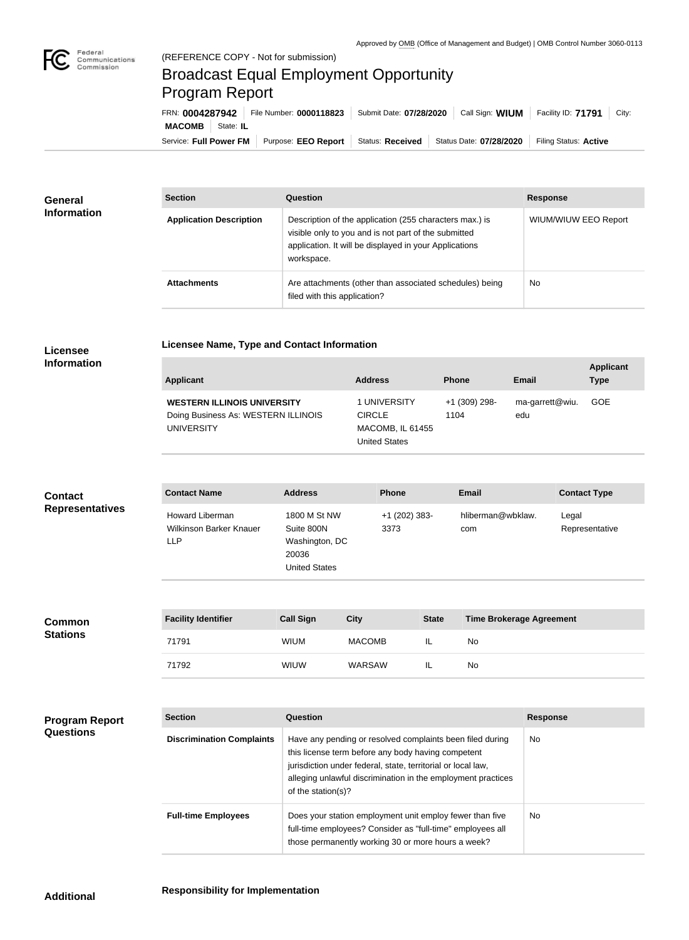

m.

## Broadcast Equal Employment Opportunity Program Report

**Licensee Name, Type and Contact Information**

| FRN: 0004287942        |           | File Number: 0000118823 | Submit Date: 07/28/2020 | Call Sign: WIUM         | Facility ID: 71791    | City: |
|------------------------|-----------|-------------------------|-------------------------|-------------------------|-----------------------|-------|
| <b>MACOMB</b>          | State: IL |                         |                         |                         |                       |       |
| Service: Full Power FM |           | Purpose: EEO Report     | Status: Received        | Status Date: 07/28/2020 | Filing Status: Active |       |

| <b>General</b><br><b>Information</b> | <b>Section</b>                 | Question                                                                                                                                                                                | <b>Response</b>             |  |
|--------------------------------------|--------------------------------|-----------------------------------------------------------------------------------------------------------------------------------------------------------------------------------------|-----------------------------|--|
|                                      | <b>Application Description</b> | Description of the application (255 characters max.) is<br>visible only to you and is not part of the submitted<br>application. It will be displayed in your Applications<br>workspace. | <b>WIUM/WIUW EEO Report</b> |  |
|                                      | <b>Attachments</b>             | Are attachments (other than associated schedules) being<br>filed with this application?                                                                                                 | <b>No</b>                   |  |

## **Licensee Information**

| <b>Applicant</b>                                                          | <b>Address</b>                                  | <b>Phone</b>          | <b>Email</b>           | <b>Applicant</b><br><b>Type</b> |
|---------------------------------------------------------------------------|-------------------------------------------------|-----------------------|------------------------|---------------------------------|
| <b>WESTERN ILLINOIS UNIVERSITY</b><br>Doing Business As: WESTERN ILLINOIS | 1 UNIVERSITY<br><b>CIRCLE</b>                   | +1 (309) 298-<br>1104 | ma-garrett@wiu.<br>edu | GOE                             |
| <b>UNIVERSITY</b>                                                         | <b>MACOMB, IL 61455</b><br><b>United States</b> |                       |                        |                                 |

| <b>Contact</b>         | <b>Contact Name</b>                                             | <b>Address</b>                                                                | <b>Phone</b>            | <b>Email</b>             | <b>Contact Type</b>     |
|------------------------|-----------------------------------------------------------------|-------------------------------------------------------------------------------|-------------------------|--------------------------|-------------------------|
| <b>Representatives</b> | <b>Howard Liberman</b><br>Wilkinson Barker Knauer<br><b>LLP</b> | 1800 M St NW<br>Suite 800N<br>Washington, DC<br>20036<br><b>United States</b> | $+1$ (202) 383-<br>3373 | hliberman@wbklaw.<br>com | Legal<br>Representative |

| <b>Common</b>   | <b>Facility Identifier</b> | <b>Call Sign</b> | City          | <b>State</b> | Time Brokerage Agreement |
|-----------------|----------------------------|------------------|---------------|--------------|--------------------------|
| <b>Stations</b> | 71791                      | <b>WIUM</b>      | <b>MACOMB</b> | IL           | No                       |
|                 | 71792                      | <b>WIUW</b>      | WARSAW        | IL           | No                       |

## **Program Report Questions**

| <b>Section</b>                   | Question                                                                                                                                                                                                                                                              | <b>Response</b> |
|----------------------------------|-----------------------------------------------------------------------------------------------------------------------------------------------------------------------------------------------------------------------------------------------------------------------|-----------------|
| <b>Discrimination Complaints</b> | Have any pending or resolved complaints been filed during<br>this license term before any body having competent<br>jurisdiction under federal, state, territorial or local law,<br>alleging unlawful discrimination in the employment practices<br>of the station(s)? | No.             |
| <b>Full-time Employees</b>       | Does your station employment unit employ fewer than five<br>full-time employees? Consider as "full-time" employees all<br>those permanently working 30 or more hours a week?                                                                                          | No.             |